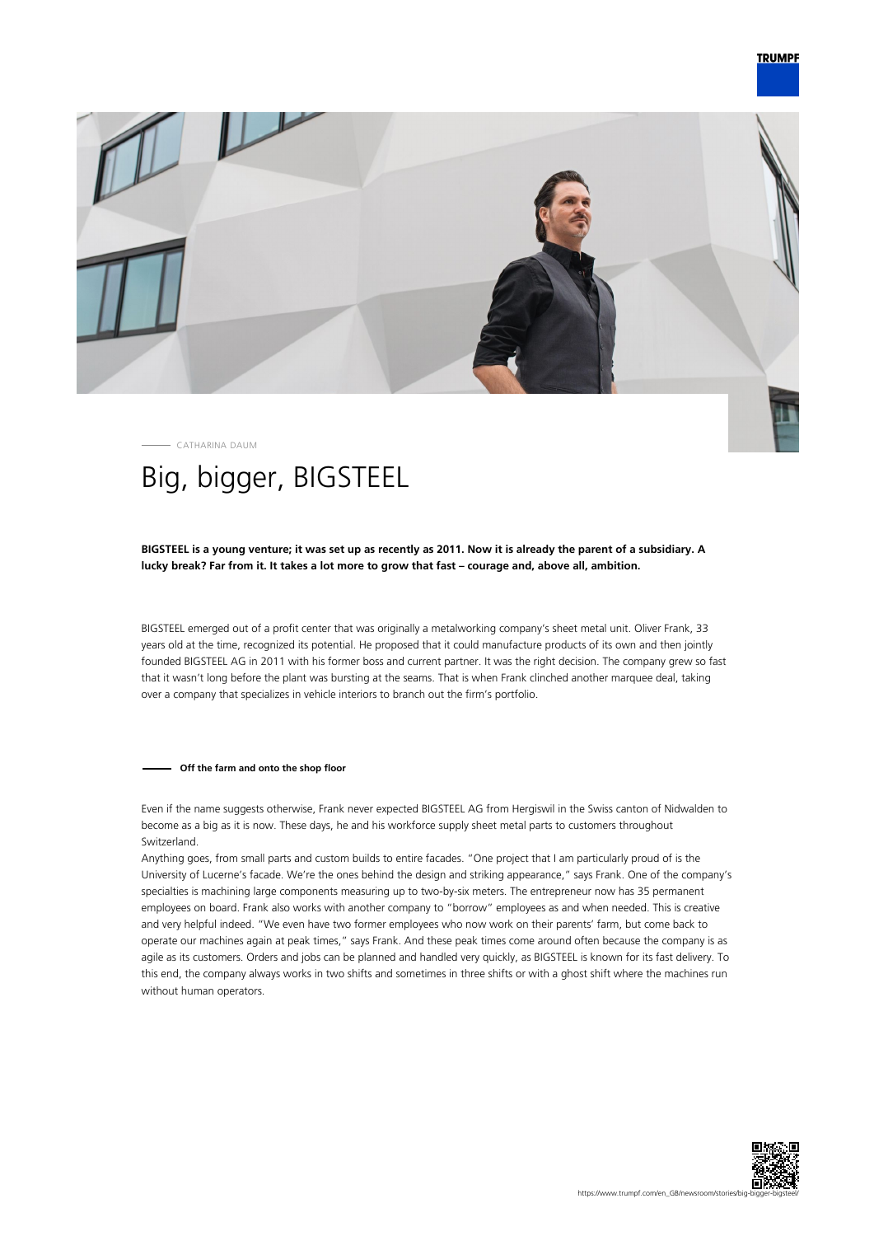

CATHARINA DAUM

# Big, bigger, BIGSTEEL

# **BIGSTEEL is a young venture; it was set up as recently as 2011. Now it is already the parent of a subsidiary. A lucky break? Far from it. It takes a lot more to grow that fast – courage and, above all, ambition.**

BIGSTEEL emerged out of a profit center that was originally a metalworking company's sheet metal unit. Oliver Frank, 33 years old at the time, recognized its potential. He proposed that it could manufacture products of its own and then jointly founded BIGSTEEL AG in 2011 with his former boss and current partner. It was the right decision. The company grew so fast that it wasn't long before the plant was bursting at the seams. That is when Frank clinched another marquee deal, taking over a company that specializes in vehicle interiors to branch out the firm's portfolio.

## **Off the farm and onto the shop floor**

Even if the name suggests otherwise, Frank never expected BIGSTEEL AG from Hergiswil in the Swiss canton of Nidwalden to become as a big as it is now. These days, he and his workforce supply sheet metal parts to customers throughout Switzerland.

Anything goes, from small parts and custom builds to entire facades. "One project that I am particularly proud of is the University of Lucerne's facade. We're the ones behind the design and striking appearance," says Frank. One of the company's specialties is machining large components measuring up to two-by-six meters. The entrepreneur now has 35 permanent employees on board. Frank also works with another company to "borrow" employees as and when needed. This is creative and very helpful indeed. "We even have two former employees who now work on their parents' farm, but come back to operate our machines again at peak times," says Frank. And these peak times come around often because the company is as agile as its customers. Orders and jobs can be planned and handled very quickly, as BIGSTEEL is known for its fast delivery. To this end, the company always works in two shifts and sometimes in three shifts or with a ghost shift where the machines run without human operators.